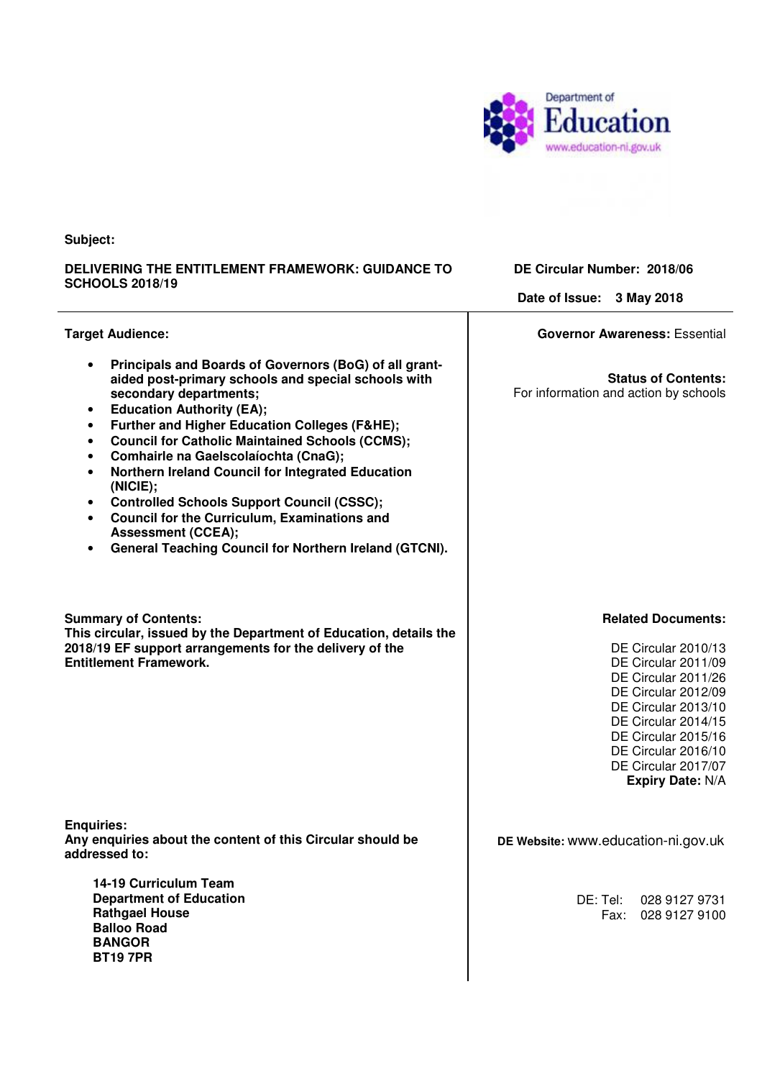

**Subject:** 

#### **DELIVERING THE ENTITLEMENT FRAMEWORK: GUIDANCE TO SCHOOLS 2018/19**

**DE Circular Number: 2018/06** 

**Date of Issue: 3 May 2018** 

| <b>Target Audience:</b>                                                                                                                                                                                                                                                                                                                                                                                                                                                                                                                                                                                                                                                                                                                   | <b>Governor Awareness: Essential</b>                                                                                                                                                                                                                                |
|-------------------------------------------------------------------------------------------------------------------------------------------------------------------------------------------------------------------------------------------------------------------------------------------------------------------------------------------------------------------------------------------------------------------------------------------------------------------------------------------------------------------------------------------------------------------------------------------------------------------------------------------------------------------------------------------------------------------------------------------|---------------------------------------------------------------------------------------------------------------------------------------------------------------------------------------------------------------------------------------------------------------------|
| Principals and Boards of Governors (BoG) of all grant-<br>$\bullet$<br>aided post-primary schools and special schools with<br>secondary departments;<br><b>Education Authority (EA);</b><br>$\bullet$<br><b>Further and Higher Education Colleges (F&amp;HE);</b><br>$\bullet$<br><b>Council for Catholic Maintained Schools (CCMS);</b><br>$\bullet$<br><b>Comhairle na Gaelscolaíochta (CnaG);</b><br>$\bullet$<br>Northern Ireland Council for Integrated Education<br>$\bullet$<br>(NICIE);<br><b>Controlled Schools Support Council (CSSC);</b><br>$\bullet$<br><b>Council for the Curriculum, Examinations and</b><br>$\bullet$<br><b>Assessment (CCEA);</b><br>General Teaching Council for Northern Ireland (GTCNI).<br>$\bullet$ | <b>Status of Contents:</b><br>For information and action by schools                                                                                                                                                                                                 |
| <b>Summary of Contents:</b><br>This circular, issued by the Department of Education, details the<br>2018/19 EF support arrangements for the delivery of the<br><b>Entitlement Framework.</b>                                                                                                                                                                                                                                                                                                                                                                                                                                                                                                                                              | <b>Related Documents:</b><br>DE Circular 2010/13<br>DE Circular 2011/09<br>DE Circular 2011/26<br>DE Circular 2012/09<br>DE Circular 2013/10<br>DE Circular 2014/15<br>DE Circular 2015/16<br>DE Circular 2016/10<br>DE Circular 2017/07<br><b>Expiry Date: N/A</b> |
| <b>Enquiries:</b><br>Any enquiries about the content of this Circular should be<br>addressed to:                                                                                                                                                                                                                                                                                                                                                                                                                                                                                                                                                                                                                                          | DE Website: www.education-ni.gov.uk                                                                                                                                                                                                                                 |
| 14-19 Curriculum Team<br><b>Department of Education</b><br><b>Rathgael House</b><br><b>Balloo Road</b><br><b>BANGOR</b><br><b>BT197PR</b>                                                                                                                                                                                                                                                                                                                                                                                                                                                                                                                                                                                                 | DE: Tel:<br>028 9127 9731<br>Fax:<br>028 9127 9100                                                                                                                                                                                                                  |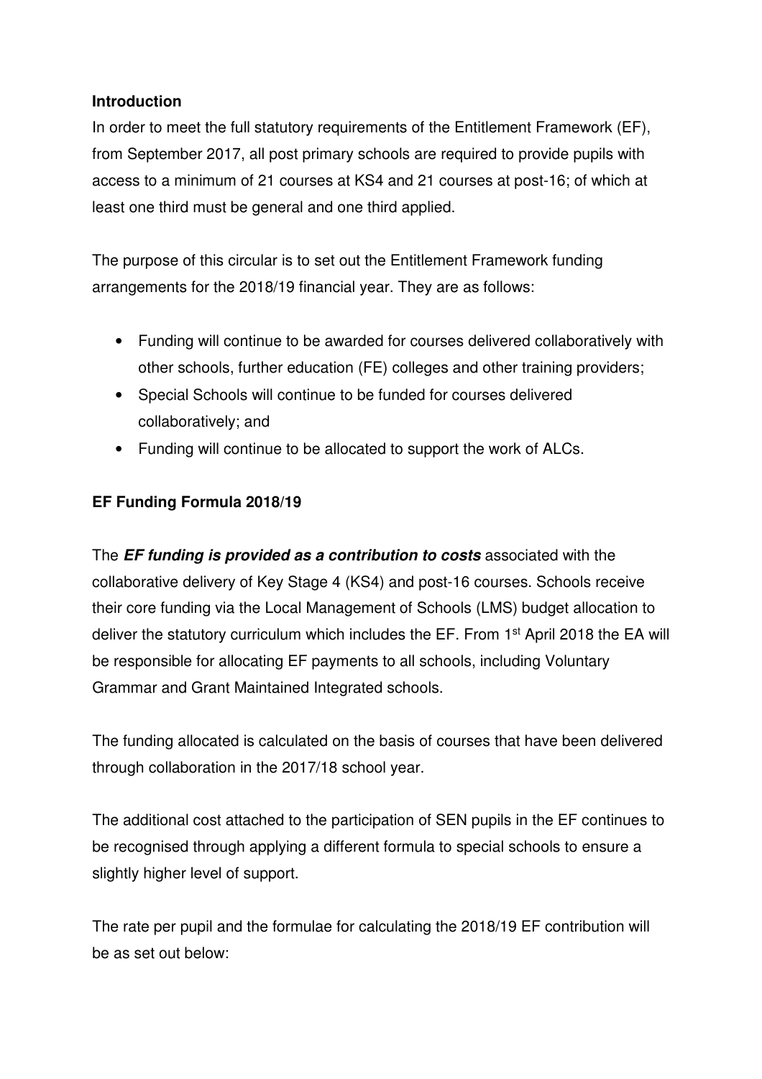### **Introduction**

 In order to meet the full statutory requirements of the Entitlement Framework (EF), from September 2017, all post primary schools are required to provide pupils with access to a minimum of 21 courses at KS4 and 21 courses at post-16; of which at least one third must be general and one third applied.

 The purpose of this circular is to set out the Entitlement Framework funding arrangements for the 2018/19 financial year. They are as follows:

- • Funding will continue to be awarded for courses delivered collaboratively with other schools, further education (FE) colleges and other training providers;
- • Special Schools will continue to be funded for courses delivered collaboratively; and
- Funding will continue to be allocated to support the work of ALCs.

# **EF Funding Formula 2018/19**

 The **EF funding is provided as a contribution to costs** associated with the collaborative delivery of Key Stage 4 (KS4) and post-16 courses. Schools receive their core funding via the Local Management of Schools (LMS) budget allocation to deliver the statutory curriculum which includes the EF. From 1<sup>st</sup> April 2018 the EA will be responsible for allocating EF payments to all schools, including Voluntary Grammar and Grant Maintained Integrated schools.

 The funding allocated is calculated on the basis of courses that have been delivered through collaboration in the 2017/18 school year.

 The additional cost attached to the participation of SEN pupils in the EF continues to be recognised through applying a different formula to special schools to ensure a slightly higher level of support.

 The rate per pupil and the formulae for calculating the 2018/19 EF contribution will be as set out below: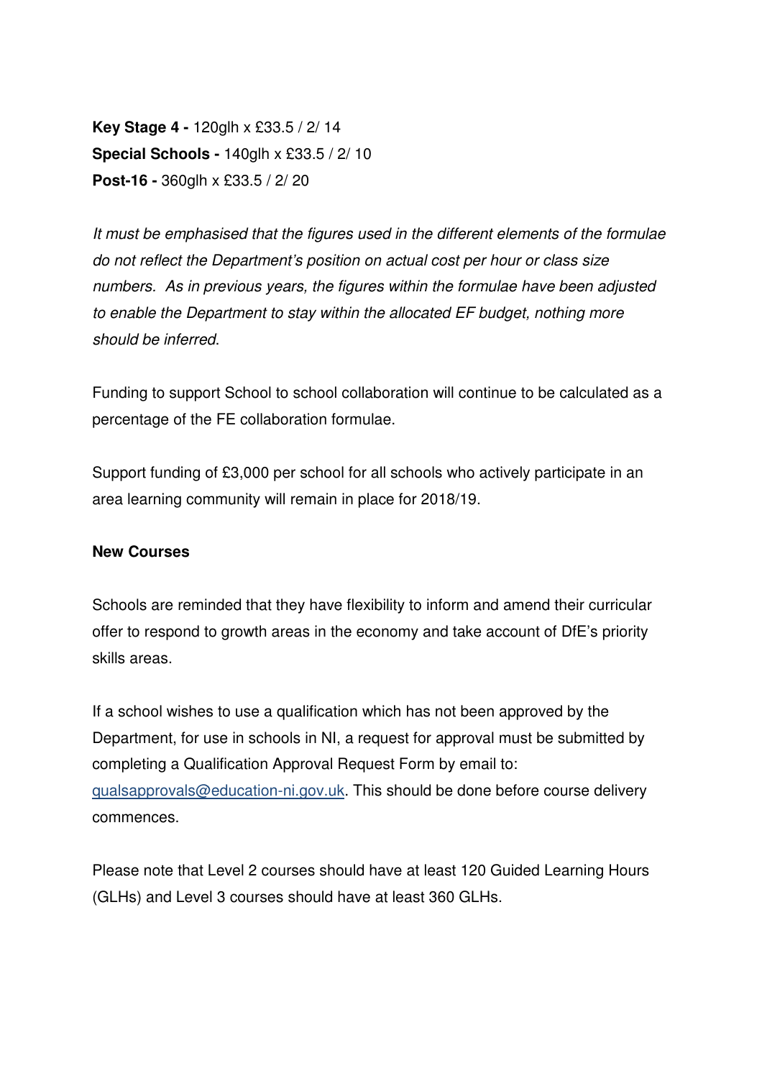**Key Stage 4 -** 120glh x £33.5 / 2/ 14  **Special Schools -** 140glh x £33.5 / 2/ 10  **Post-16 -** 360glh x £33.5 / 2/ 20

 It must be emphasised that the figures used in the different elements of the formulae do not reflect the Department's position on actual cost per hour or class size numbers. As in previous years, the figures within the formulae have been adjusted to enable the Department to stay within the allocated EF budget, nothing more should be inferred.

 Funding to support School to school collaboration will continue to be calculated as a percentage of the FE collaboration formulae.

 Support funding of £3,000 per school for all schools who actively participate in an area learning community will remain in place for 2018/19.

#### **New Courses**

 Schools are reminded that they have flexibility to inform and amend their curricular offer to respond to growth areas in the economy and take account of DfE's priority skills areas.

 If a school wishes to use a qualification which has not been approved by the Department, for use in schools in NI, a request for approval must be submitted by completing a Qualification Approval Request Form by email to: qualsapprovals@education-ni.gov.uk. This should be done before course delivery commences.

commences.<br>Please note that Level 2 courses should have at least 120 Guided Learning Hours (GLHs) and Level 3 courses should have at least 360 GLHs.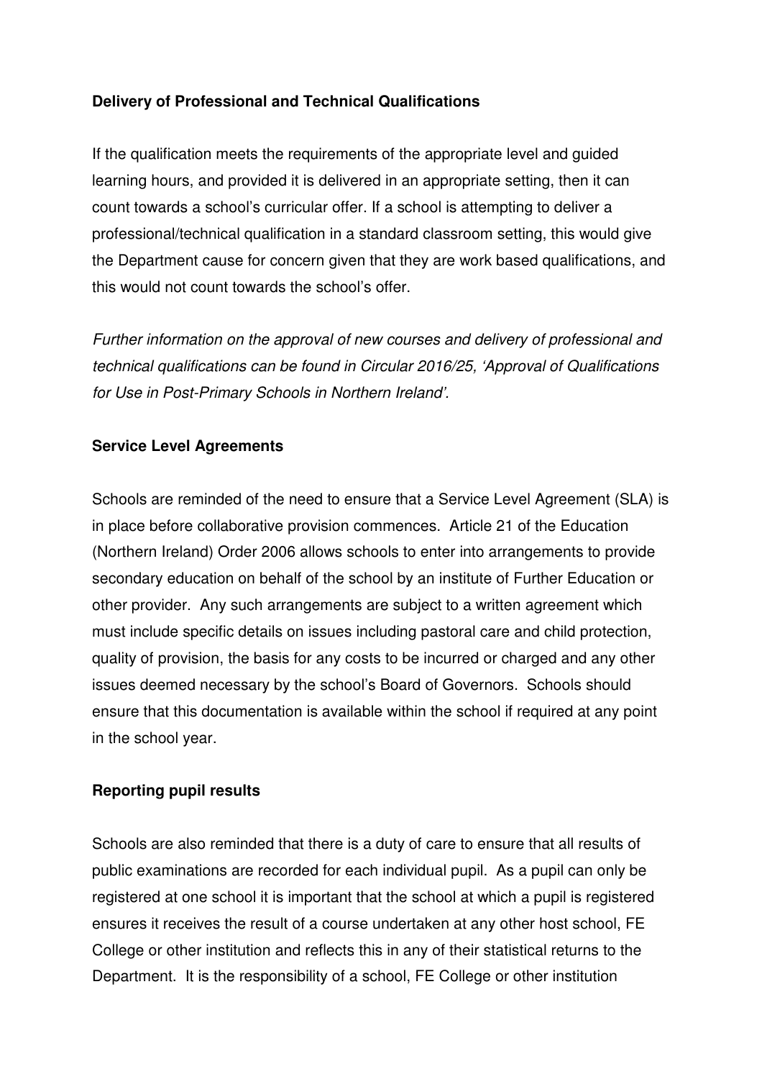### **Delivery of Professional and Technical Qualifications**

 If the qualification meets the requirements of the appropriate level and guided learning hours, and provided it is delivered in an appropriate setting, then it can count towards a school's curricular offer. If a school is attempting to deliver a professional/technical qualification in a standard classroom setting, this would give the Department cause for concern given that they are work based qualifications, and this would not count towards the school's offer.

 Further information on the approval of new courses and delivery of professional and technical qualifications can be found in Circular 2016/25, 'Approval of Qualifications for Use in Post-Primary Schools in Northern Ireland'.

### **Service Level Agreements**

 Schools are reminded of the need to ensure that a Service Level Agreement (SLA) is in place before collaborative provision commences. Article 21 of the Education (Northern Ireland) Order 2006 allows schools to enter into arrangements to provide secondary education on behalf of the school by an institute of Further Education or other provider. Any such arrangements are subject to a written agreement which must include specific details on issues including pastoral care and child protection, quality of provision, the basis for any costs to be incurred or charged and any other issues deemed necessary by the school's Board of Governors. Schools should ensure that this documentation is available within the school if required at any point in the school year.

#### **Reporting pupil results**

 Schools are also reminded that there is a duty of care to ensure that all results of public examinations are recorded for each individual pupil. As a pupil can only be registered at one school it is important that the school at which a pupil is registered ensures it receives the result of a course undertaken at any other host school, FE College or other institution and reflects this in any of their statistical returns to the Department. It is the responsibility of a school, FE College or other institution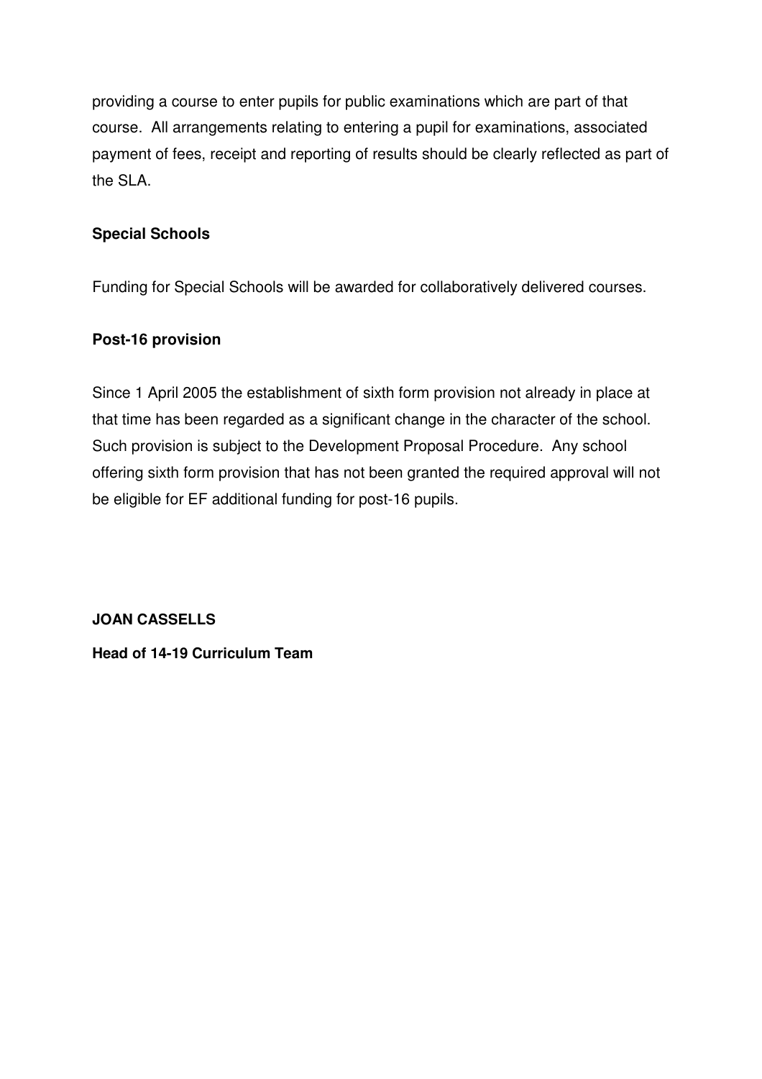providing a course to enter pupils for public examinations which are part of that course. All arrangements relating to entering a pupil for examinations, associated payment of fees, receipt and reporting of results should be clearly reflected as part of the SLA.

## **Special Schools**

Funding for Special Schools will be awarded for collaboratively delivered courses.

#### **Post-16 provision**

 Since 1 April 2005 the establishment of sixth form provision not already in place at that time has been regarded as a significant change in the character of the school. Such provision is subject to the Development Proposal Procedure. Any school offering sixth form provision that has not been granted the required approval will not be eligible for EF additional funding for post-16 pupils.

**JOAN CASSELLS** 

 **JOAN CASSELLS Head of 14-19 Curriculum Team**